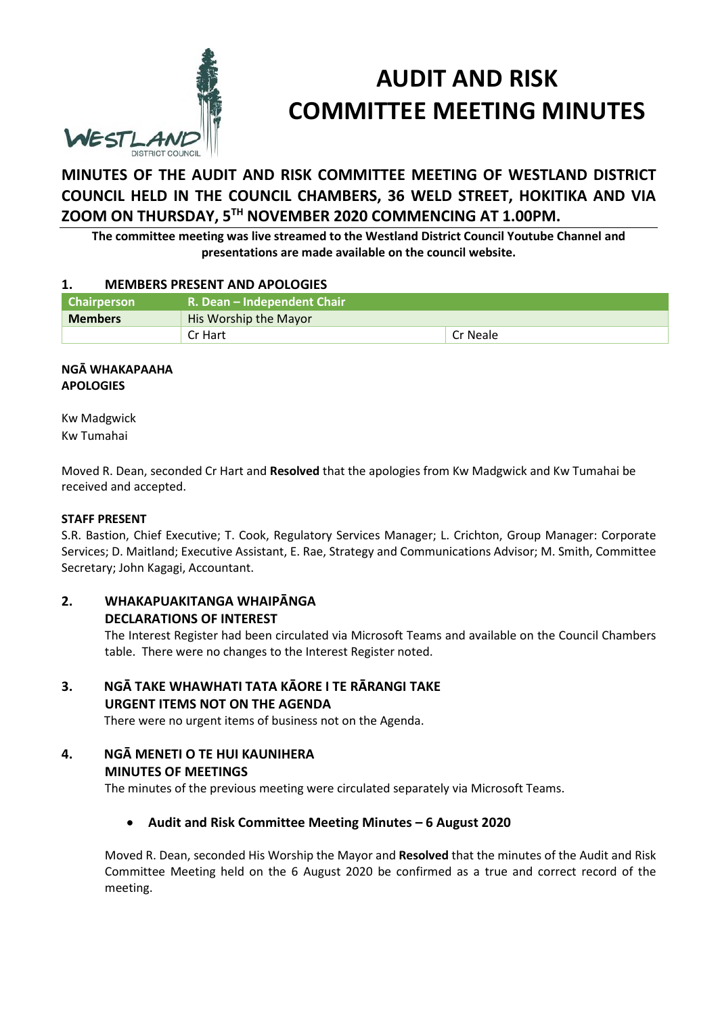

# **AUDIT AND RISK COMMITTEE MEETING MINUTES**

## **MINUTES OF THE AUDIT AND RISK COMMITTEE MEETING OF WESTLAND DISTRICT COUNCIL HELD IN THE COUNCIL CHAMBERS, 36 WELD STREET, HOKITIKA AND VIA ZOOM ON THURSDAY, 5TH NOVEMBER 2020 COMMENCING AT 1.00PM.**

**The committee meeting was live streamed to the Westland District Council Youtube Channel and presentations are made available on the council website.** 

#### **1. MEMBERS PRESENT AND APOLOGIES**

| <b>Chairperson</b> | R. Dean - Independent Chair |          |  |
|--------------------|-----------------------------|----------|--|
| <b>Members</b>     | His Worship the Mayor       |          |  |
|                    | Cr Hart                     | Cr Neale |  |

#### **NGĀ WHAKAPAAHA APOLOGIES**

Kw Madgwick Kw Tumahai

Moved R. Dean, seconded Cr Hart and **Resolved** that the apologies from Kw Madgwick and Kw Tumahai be received and accepted.

#### **STAFF PRESENT**

S.R. Bastion, Chief Executive; T. Cook, Regulatory Services Manager; L. Crichton, Group Manager: Corporate Services; D. Maitland; Executive Assistant, E. Rae, Strategy and Communications Advisor; M. Smith, Committee Secretary; John Kagagi, Accountant.

## **2. WHAKAPUAKITANGA WHAIPĀNGA DECLARATIONS OF INTEREST**

The Interest Register had been circulated via Microsoft Teams and available on the Council Chambers table. There were no changes to the Interest Register noted.

## **3. NGĀ TAKE WHAWHATI TATA KĀORE I TE RĀRANGI TAKE URGENT ITEMS NOT ON THE AGENDA**

There were no urgent items of business not on the Agenda.

#### **4. NGĀ MENETI O TE HUI KAUNIHERA MINUTES OF MEETINGS**

The minutes of the previous meeting were circulated separately via Microsoft Teams.

#### **Audit and Risk Committee Meeting Minutes – 6 August 2020**

Moved R. Dean, seconded His Worship the Mayor and **Resolved** that the minutes of the Audit and Risk Committee Meeting held on the 6 August 2020 be confirmed as a true and correct record of the meeting.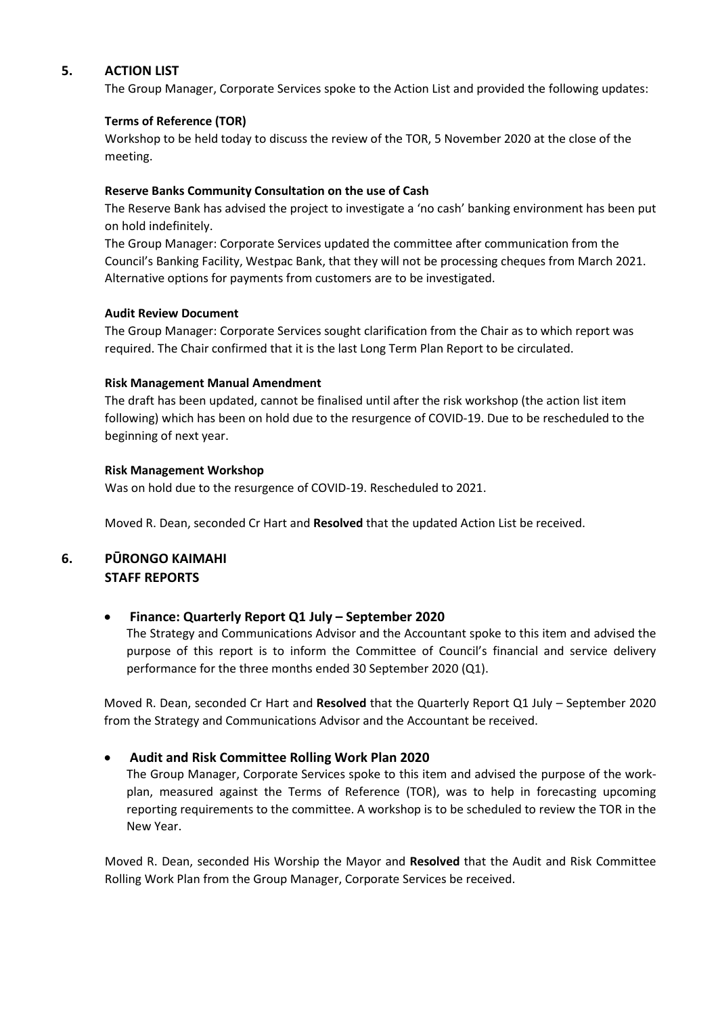#### **5. ACTION LIST**

The Group Manager, Corporate Services spoke to the Action List and provided the following updates:

#### **Terms of Reference (TOR)**

Workshop to be held today to discuss the review of the TOR, 5 November 2020 at the close of the meeting.

#### **Reserve Banks Community Consultation on the use of Cash**

The Reserve Bank has advised the project to investigate a 'no cash' banking environment has been put on hold indefinitely.

The Group Manager: Corporate Services updated the committee after communication from the Council's Banking Facility, Westpac Bank, that they will not be processing cheques from March 2021. Alternative options for payments from customers are to be investigated.

#### **Audit Review Document**

The Group Manager: Corporate Services sought clarification from the Chair as to which report was required. The Chair confirmed that it is the last Long Term Plan Report to be circulated.

#### **Risk Management Manual Amendment**

The draft has been updated, cannot be finalised until after the risk workshop (the action list item following) which has been on hold due to the resurgence of COVID-19. Due to be rescheduled to the beginning of next year.

#### **Risk Management Workshop**

Was on hold due to the resurgence of COVID-19. Rescheduled to 2021.

Moved R. Dean, seconded Cr Hart and **Resolved** that the updated Action List be received.

## **6. PŪRONGO KAIMAHI STAFF REPORTS**

#### **Finance: Quarterly Report Q1 July – September 2020**

The Strategy and Communications Advisor and the Accountant spoke to this item and advised the purpose of this report is to inform the Committee of Council's financial and service delivery performance for the three months ended 30 September 2020 (Q1).

Moved R. Dean, seconded Cr Hart and **Resolved** that the Quarterly Report Q1 July – September 2020 from the Strategy and Communications Advisor and the Accountant be received.

#### **Audit and Risk Committee Rolling Work Plan 2020**

The Group Manager, Corporate Services spoke to this item and advised the purpose of the workplan, measured against the Terms of Reference (TOR), was to help in forecasting upcoming reporting requirements to the committee. A workshop is to be scheduled to review the TOR in the New Year.

Moved R. Dean, seconded His Worship the Mayor and **Resolved** that the Audit and Risk Committee Rolling Work Plan from the Group Manager, Corporate Services be received.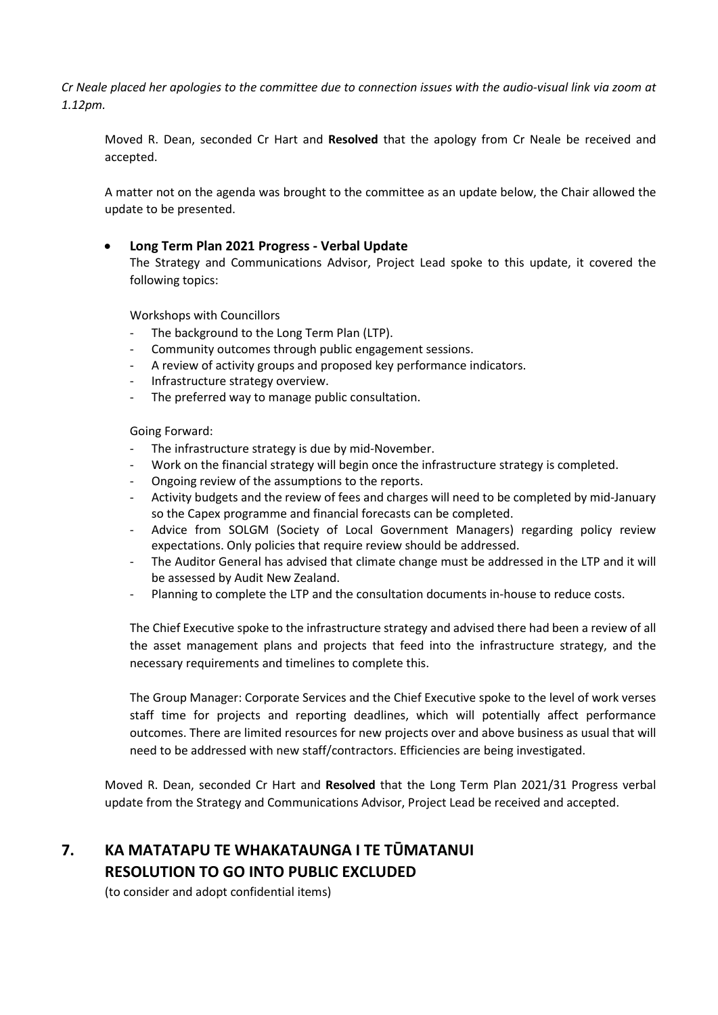*Cr Neale placed her apologies to the committee due to connection issues with the audio-visual link via zoom at 1.12pm.* 

Moved R. Dean, seconded Cr Hart and **Resolved** that the apology from Cr Neale be received and accepted.

A matter not on the agenda was brought to the committee as an update below, the Chair allowed the update to be presented.

#### **Long Term Plan 2021 Progress - Verbal Update**

The Strategy and Communications Advisor, Project Lead spoke to this update, it covered the following topics:

Workshops with Councillors

- The background to the Long Term Plan (LTP).
- Community outcomes through public engagement sessions.
- A review of activity groups and proposed key performance indicators.
- Infrastructure strategy overview.
- The preferred way to manage public consultation.

#### Going Forward:

- The infrastructure strategy is due by mid-November.
- Work on the financial strategy will begin once the infrastructure strategy is completed.
- Ongoing review of the assumptions to the reports.
- Activity budgets and the review of fees and charges will need to be completed by mid-January so the Capex programme and financial forecasts can be completed.
- Advice from SOLGM (Society of Local Government Managers) regarding policy review expectations. Only policies that require review should be addressed.
- The Auditor General has advised that climate change must be addressed in the LTP and it will be assessed by Audit New Zealand.
- Planning to complete the LTP and the consultation documents in-house to reduce costs.

The Chief Executive spoke to the infrastructure strategy and advised there had been a review of all the asset management plans and projects that feed into the infrastructure strategy, and the necessary requirements and timelines to complete this.

The Group Manager: Corporate Services and the Chief Executive spoke to the level of work verses staff time for projects and reporting deadlines, which will potentially affect performance outcomes. There are limited resources for new projects over and above business as usual that will need to be addressed with new staff/contractors. Efficiencies are being investigated.

Moved R. Dean, seconded Cr Hart and **Resolved** that the Long Term Plan 2021/31 Progress verbal update from the Strategy and Communications Advisor, Project Lead be received and accepted.

# **7. KA MATATAPU TE WHAKATAUNGA I TE TŪMATANUI RESOLUTION TO GO INTO PUBLIC EXCLUDED**

(to consider and adopt confidential items)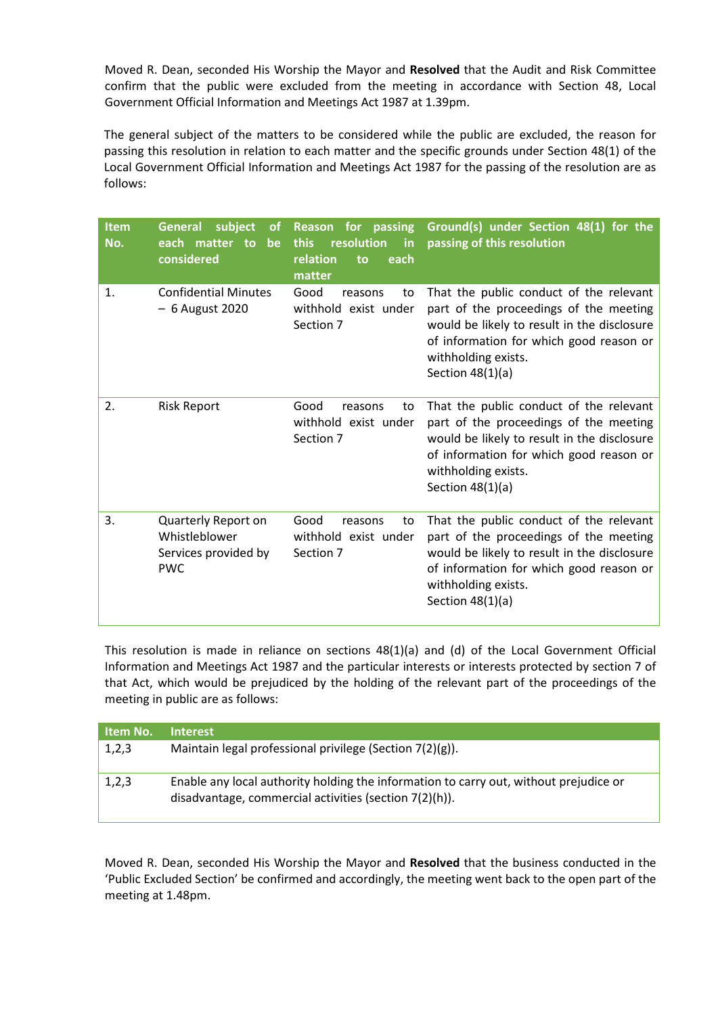Moved R. Dean, seconded His Worship the Mayor and **Resolved** that the Audit and Risk Committee confirm that the public were excluded from the meeting in accordance with Section 48, Local Government Official Information and Meetings Act 1987 at 1.39pm.

The general subject of the matters to be considered while the public are excluded, the reason for passing this resolution in relation to each matter and the specific grounds under Section 48(1) of the Local Government Official Information and Meetings Act 1987 for the passing of the resolution are as follows:

| Item<br>No. | subject<br><b>General</b><br><b>of</b><br>each matter to<br>be<br>considered | for passing<br><b>Reason</b><br>resolution<br>this<br>in<br>relation<br>to<br>each<br>matter | Ground(s) under Section 48(1) for the<br>passing of this resolution                                                                                                                                                      |
|-------------|------------------------------------------------------------------------------|----------------------------------------------------------------------------------------------|--------------------------------------------------------------------------------------------------------------------------------------------------------------------------------------------------------------------------|
| 1.          | <b>Confidential Minutes</b><br>- 6 August 2020                               | Good<br>reasons<br>to<br>withhold exist under<br>Section 7                                   | That the public conduct of the relevant<br>part of the proceedings of the meeting<br>would be likely to result in the disclosure<br>of information for which good reason or<br>withholding exists.<br>Section $48(1)(a)$ |
| 2.          | <b>Risk Report</b>                                                           | Good<br>reasons<br>to<br>withhold exist under<br>Section 7                                   | That the public conduct of the relevant<br>part of the proceedings of the meeting<br>would be likely to result in the disclosure<br>of information for which good reason or<br>withholding exists.<br>Section $48(1)(a)$ |
| 3.          | Quarterly Report on<br>Whistleblower<br>Services provided by<br><b>PWC</b>   | Good<br>reasons<br>to<br>withhold exist under<br>Section 7                                   | That the public conduct of the relevant<br>part of the proceedings of the meeting<br>would be likely to result in the disclosure<br>of information for which good reason or<br>withholding exists.<br>Section $48(1)(a)$ |

This resolution is made in reliance on sections 48(1)(a) and (d) of the Local Government Official Information and Meetings Act 1987 and the particular interests or interests protected by section 7 of that Act, which would be prejudiced by the holding of the relevant part of the proceedings of the meeting in public are as follows:

| l Item No. | <b>Interest</b>                                                                                                                                 |
|------------|-------------------------------------------------------------------------------------------------------------------------------------------------|
| 1,2,3      | Maintain legal professional privilege (Section 7(2)(g)).                                                                                        |
| 1,2,3      | Enable any local authority holding the information to carry out, without prejudice or<br>disadvantage, commercial activities (section 7(2)(h)). |

Moved R. Dean, seconded His Worship the Mayor and **Resolved** that the business conducted in the 'Public Excluded Section' be confirmed and accordingly, the meeting went back to the open part of the meeting at 1.48pm.